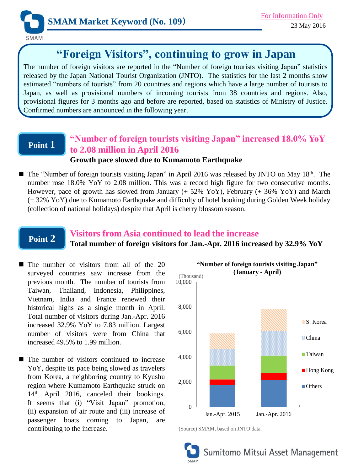

# **"Foreign Visitors", continuing to grow in Japan**

The number of foreign visitors are reported in the "Number of foreign tourists visiting Japan" statistics released by the Japan National Tourist Organization (JNTO). The statistics for the last 2 months show estimated "numbers of tourists" from 20 countries and regions which have a large number of tourists to Japan, as well as provisional numbers of incoming tourists from 38 countries and regions. Also, provisional figures for 3 months ago and before are reported, based on statistics of Ministry of Justice. Confirmed numbers are announced in the following year.

## **Point 1**

### **"Number of foreign tourists visiting Japan" increased 18.0% YoY to 2.08 million in April 2016 Growth pace slowed due to Kumamoto Earthquake**

■ The "Number of foreign tourists visiting Japan" in April 2016 was released by JNTO on May 18<sup>th</sup>. The number rose 18.0% YoY to 2.08 million. This was a record high figure for two consecutive months. However, pace of growth has slowed from January (+ 52% YoY), February (+ 36% YoY) and March (+ 32% YoY) due to Kumamoto Earthquake and difficulty of hotel booking during Golden Week holiday (collection of national holidays) despite that April is cherry blossom season.

# **Point 2**

# **Visitors from Asia continued to lead the increase**

**Total number of foreign visitors for Jan.-Apr. 2016 increased by 32.9% YoY**

- $\blacksquare$  The number of visitors from all of the 20 surveyed countries saw increase from the previous month. The number of tourists from Taiwan, Thailand, Indonesia, Philippines, Vietnam, India and France renewed their historical highs as a single month in April. Total number of visitors during Jan.-Apr. 2016 increased 32.9% YoY to 7.83 million. Largest number of visitors were from China that increased 49.5% to 1.99 million.
- The number of visitors continued to increase YoY, despite its pace being slowed as travelers from Korea, a neighboring country to Kyushu region where Kumamoto Earthquake struck on 14th April 2016, canceled their bookings. It seems that (i) "Visit Japan" promotion, (ii) expansion of air route and (iii) increase of passenger boats coming to Japan, are contributing to the increase.



<sup>(</sup>Source) SMAM, based on JNTO data.